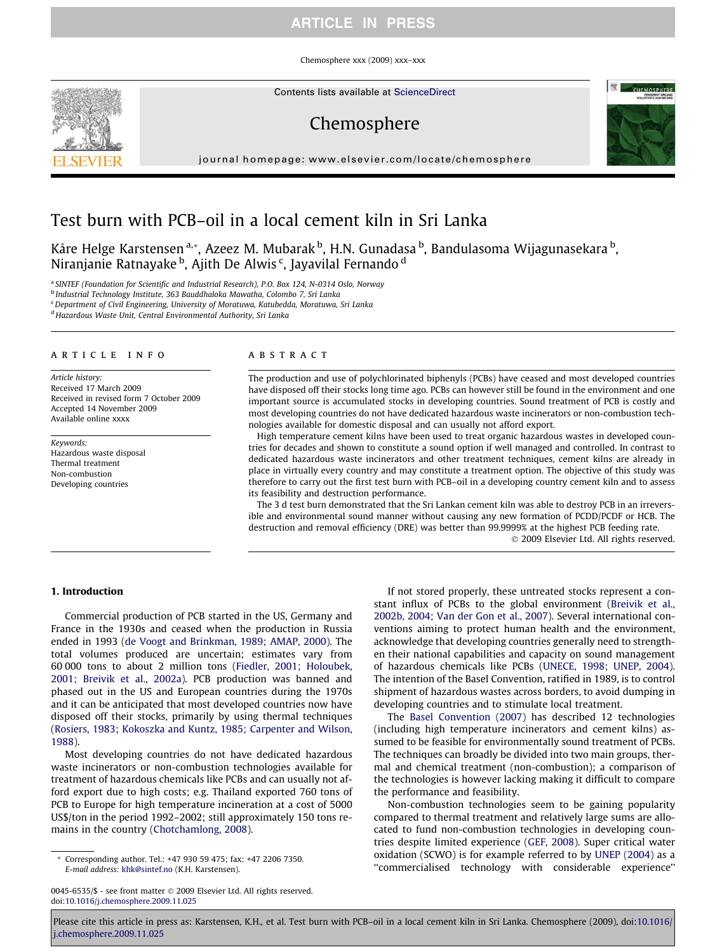# ARTICLE IN PRESS

Chemosphere xxx (2009) xxx–xxx

Contents lists available at [ScienceDirect](http://www.sciencedirect.com/science/journal/00456535)

# Chemosphere

journal homepage: [www.elsevier.com/locate/chemosphere](http://www.elsevier.com/locate/chemosphere)



Kåre Helge Karstensen <sup>a,</sup>\*, Azeez M. Mubarak <sup>b</sup>, H.N. Gunadasa <sup>b</sup>, Bandulasoma Wijagunasekara <sup>b</sup>, Niranjanie Ratnayake <sup>b</sup>, Ajith De Alwis <sup>c</sup>, Jayavilal Fernando <sup>d</sup>

<sup>a</sup> SINTEF (Foundation for Scientific and Industrial Research), P.O. Box 124, N-0314 Oslo, Norway

<sup>b</sup> Industrial Technology Institute, 363 Bauddhaloka Mawatha, Colombo 7, Sri Lanka

<sup>c</sup> Department of Civil Engineering, University of Moratuwa, Katubedda, Moratuwa, Sri Lanka

<sup>d</sup> Hazardous Waste Unit, Central Environmental Authority, Sri Lanka

#### article info

Article history: Received 17 March 2009 Received in revised form 7 October 2009 Accepted 14 November 2009 Available online xxxx

Keywords: Hazardous waste disposal Thermal treatment Non-combustion Developing countries

## ABSTRACT

The production and use of polychlorinated biphenyls (PCBs) have ceased and most developed countries have disposed off their stocks long time ago. PCBs can however still be found in the environment and one important source is accumulated stocks in developing countries. Sound treatment of PCB is costly and most developing countries do not have dedicated hazardous waste incinerators or non-combustion technologies available for domestic disposal and can usually not afford export.

High temperature cement kilns have been used to treat organic hazardous wastes in developed countries for decades and shown to constitute a sound option if well managed and controlled. In contrast to dedicated hazardous waste incinerators and other treatment techniques, cement kilns are already in place in virtually every country and may constitute a treatment option. The objective of this study was therefore to carry out the first test burn with PCB–oil in a developing country cement kiln and to assess its feasibility and destruction performance.

The 3 d test burn demonstrated that the Sri Lankan cement kiln was able to destroy PCB in an irreversible and environmental sound manner without causing any new formation of PCDD/PCDF or HCB. The destruction and removal efficiency (DRE) was better than 99.9999% at the highest PCB feeding rate.

- 2009 Elsevier Ltd. All rights reserved.

## 1. Introduction

Commercial production of PCB started in the US, Germany and France in the 1930s and ceased when the production in Russia ended in 1993 [\(de Voogt and Brinkman, 1989; AMAP, 2000\)](#page-6-0). The total volumes produced are uncertain; estimates vary from 60 000 tons to about 2 million tons ([Fiedler, 2001; Holoubek,](#page-6-0) [2001; Breivik et al., 2002a](#page-6-0)). PCB production was banned and phased out in the US and European countries during the 1970s and it can be anticipated that most developed countries now have disposed off their stocks, primarily by using thermal techniques ([Rosiers, 1983](#page-6-0); [Kokoszka and Kuntz, 1985; Carpenter and Wilson,](#page-6-0) [1988\)](#page-6-0).

Most developing countries do not have dedicated hazardous waste incinerators or non-combustion technologies available for treatment of hazardous chemicals like PCBs and can usually not afford export due to high costs; e.g. Thailand exported 760 tons of PCB to Europe for high temperature incineration at a cost of 5000 US\$/ton in the period 1992–2002; still approximately 150 tons remains in the country [\(Chotchamlong, 2008](#page-6-0)).

Corresponding author. Tel.: +47 930 59 475; fax: +47 2206 7350. E-mail address: [khk@sintef.no](mailto:khk@sintef.no) (K.H. Karstensen).

0045-6535/\$ - see front matter © 2009 Elsevier Ltd. All rights reserved. doi[:10.1016/j.chemosphere.2009.11.025](http://dx.doi.org/10.1016/j.chemosphere.2009.11.025)

If not stored properly, these untreated stocks represent a constant influx of PCBs to the global environment [\(Breivik et al.,](#page-5-0) [2002b, 2004; Van der Gon et al., 2007\)](#page-5-0). Several international conventions aiming to protect human health and the environment, acknowledge that developing countries generally need to strengthen their national capabilities and capacity on sound management of hazardous chemicals like PCBs [\(UNECE, 1998; UNEP, 2004\)](#page-6-0). The intention of the Basel Convention, ratified in 1989, is to control shipment of hazardous wastes across borders, to avoid dumping in developing countries and to stimulate local treatment.

The [Basel Convention \(2007\)](#page-5-0) has described 12 technologies (including high temperature incinerators and cement kilns) assumed to be feasible for environmentally sound treatment of PCBs. The techniques can broadly be divided into two main groups, thermal and chemical treatment (non-combustion); a comparison of the technologies is however lacking making it difficult to compare the performance and feasibility.

Non-combustion technologies seem to be gaining popularity compared to thermal treatment and relatively large sums are allocated to fund non-combustion technologies in developing countries despite limited experience ([GEF, 2008](#page-6-0)). Super critical water oxidation (SCWO) is for example referred to by [UNEP \(2004\)](#page-6-0) as a ''commercialised technology with considerable experience''





Please cite this article in press as: Karstensen, K.H., et al. Test burn with PCB-oil in a local cement kiln in Sri Lanka. Chemosphere (2009), doi:[10.1016/](http://dx.doi.org/10.1016/j.chemosphere.2009.11.025) [j.chemosphere.2009.11.025](http://dx.doi.org/10.1016/j.chemosphere.2009.11.025)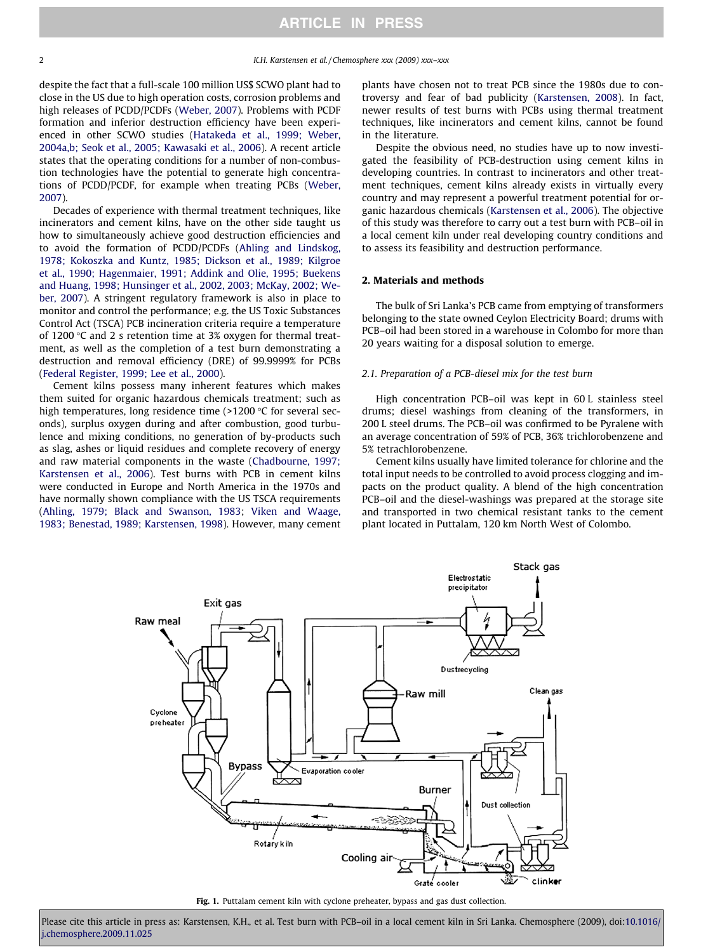<span id="page-1-0"></span>despite the fact that a full-scale 100 million US\$ SCWO plant had to close in the US due to high operation costs, corrosion problems and high releases of PCDD/PCDFs [\(Weber, 2007\)](#page-6-0). Problems with PCDF formation and inferior destruction efficiency have been experienced in other SCWO studies [\(Hatakeda et al., 1999; Weber,](#page-6-0) [2004a,b; Seok et al., 2005; Kawasaki et al., 2006\)](#page-6-0). A recent article states that the operating conditions for a number of non-combustion technologies have the potential to generate high concentrations of PCDD/PCDF, for example when treating PCBs ([Weber,](#page-6-0) [2007\)](#page-6-0).

Decades of experience with thermal treatment techniques, like incinerators and cement kilns, have on the other side taught us how to simultaneously achieve good destruction efficiencies and to avoid the formation of PCDD/PCDFs [\(Ahling and Lindskog,](#page-5-0) [1978; Kokoszka and Kuntz, 1985; Dickson et al., 1989; Kilgroe](#page-5-0) [et al., 1990; Hagenmaier, 1991; Addink and Olie, 1995; Buekens](#page-5-0) [and Huang, 1998; Hunsinger et al., 2002, 2003; McKay, 2002; We](#page-5-0)[ber, 2007\)](#page-5-0). A stringent regulatory framework is also in place to monitor and control the performance; e.g. the US Toxic Substances Control Act (TSCA) PCB incineration criteria require a temperature of 1200  $\degree$ C and 2 s retention time at 3% oxygen for thermal treatment, as well as the completion of a test burn demonstrating a destruction and removal efficiency (DRE) of 99.9999% for PCBs ([Federal Register, 1999; Lee et al., 2000\)](#page-6-0).

Cement kilns possess many inherent features which makes them suited for organic hazardous chemicals treatment; such as high temperatures, long residence time  $(>1200$  °C for several seconds), surplus oxygen during and after combustion, good turbulence and mixing conditions, no generation of by-products such as slag, ashes or liquid residues and complete recovery of energy and raw material components in the waste [\(Chadbourne, 1997;](#page-6-0) [Karstensen et al., 2006\)](#page-6-0). Test burns with PCB in cement kilns were conducted in Europe and North America in the 1970s and have normally shown compliance with the US TSCA requirements ([Ahling, 1979; Black and Swanson, 1983;](#page-5-0) [Viken and Waage,](#page-6-0) [1983; Benestad, 1989; Karstensen, 1998\)](#page-6-0). However, many cement plants have chosen not to treat PCB since the 1980s due to controversy and fear of bad publicity ([Karstensen, 2008\)](#page-6-0). In fact, newer results of test burns with PCBs using thermal treatment techniques, like incinerators and cement kilns, cannot be found in the literature.

Despite the obvious need, no studies have up to now investigated the feasibility of PCB-destruction using cement kilns in developing countries. In contrast to incinerators and other treatment techniques, cement kilns already exists in virtually every country and may represent a powerful treatment potential for organic hazardous chemicals ([Karstensen et al., 2006\)](#page-6-0). The objective of this study was therefore to carry out a test burn with PCB–oil in a local cement kiln under real developing country conditions and to assess its feasibility and destruction performance.

## 2. Materials and methods

The bulk of Sri Lanka's PCB came from emptying of transformers belonging to the state owned Ceylon Electricity Board; drums with PCB–oil had been stored in a warehouse in Colombo for more than 20 years waiting for a disposal solution to emerge.

## 2.1. Preparation of a PCB-diesel mix for the test burn

High concentration PCB–oil was kept in 60 L stainless steel drums; diesel washings from cleaning of the transformers, in 200 L steel drums. The PCB–oil was confirmed to be Pyralene with an average concentration of 59% of PCB, 36% trichlorobenzene and 5% tetrachlorobenzene.

Cement kilns usually have limited tolerance for chlorine and the total input needs to be controlled to avoid process clogging and impacts on the product quality. A blend of the high concentration PCB–oil and the diesel-washings was prepared at the storage site and transported in two chemical resistant tanks to the cement plant located in Puttalam, 120 km North West of Colombo.



Fig. 1. Puttalam cement kiln with cyclone preheater, bypass and gas dust collection.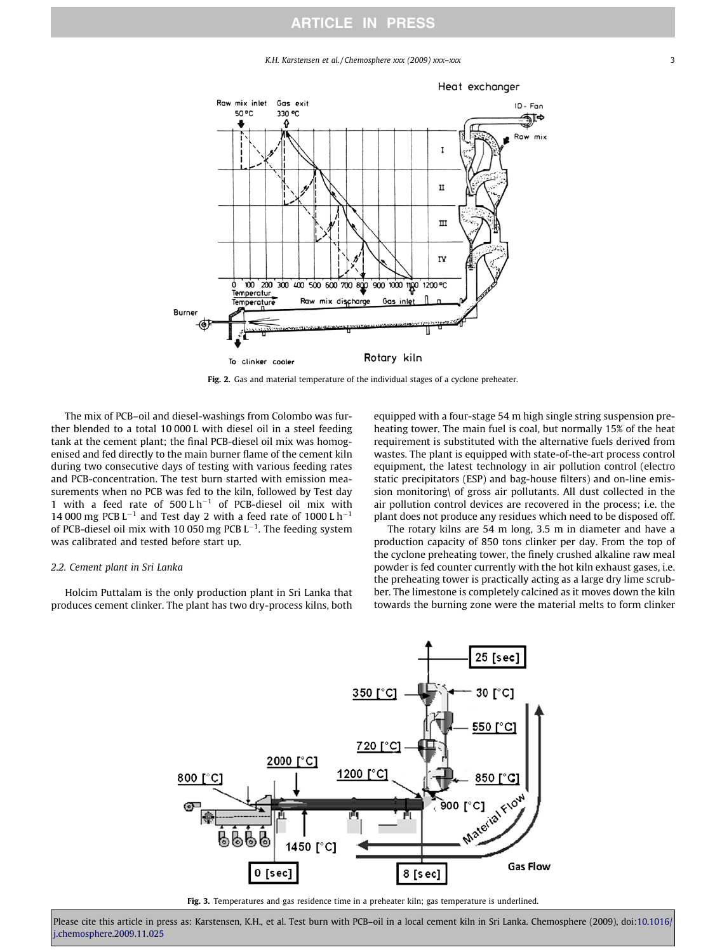K.H. Karstensen et al. / Chemosphere xxx (2009) xxx–xxx 3 3

<span id="page-2-0"></span>

Fig. 2. Gas and material temperature of the individual stages of a cyclone preheater.

The mix of PCB–oil and diesel-washings from Colombo was further blended to a total 10 000 L with diesel oil in a steel feeding tank at the cement plant; the final PCB-diesel oil mix was homogenised and fed directly to the main burner flame of the cement kiln during two consecutive days of testing with various feeding rates and PCB-concentration. The test burn started with emission measurements when no PCB was fed to the kiln, followed by Test day 1 with a feed rate of  $500 L h^{-1}$  of PCB-diesel oil mix with 14 000 mg PCB  $L^{-1}$  and Test day 2 with a feed rate of 1000 L h<sup>-1</sup> of PCB-diesel oil mix with 10 050 mg PCB  $L^{-1}$ . The feeding system was calibrated and tested before start up.

## 2.2. Cement plant in Sri Lanka

Holcim Puttalam is the only production plant in Sri Lanka that produces cement clinker. The plant has two dry-process kilns, both

equipped with a four-stage 54 m high single string suspension preheating tower. The main fuel is coal, but normally 15% of the heat requirement is substituted with the alternative fuels derived from wastes. The plant is equipped with state-of-the-art process control equipment, the latest technology in air pollution control (electro static precipitators (ESP) and bag-house filters) and on-line emission monitoring\ of gross air pollutants. All dust collected in the air pollution control devices are recovered in the process; i.e. the plant does not produce any residues which need to be disposed off.

The rotary kilns are 54 m long, 3.5 m in diameter and have a production capacity of 850 tons clinker per day. From the top of the cyclone preheating tower, the finely crushed alkaline raw meal powder is fed counter currently with the hot kiln exhaust gases, i.e. the preheating tower is practically acting as a large dry lime scrubber. The limestone is completely calcined as it moves down the kiln towards the burning zone were the material melts to form clinker



Fig. 3. Temperatures and gas residence time in a preheater kiln; gas temperature is underlined.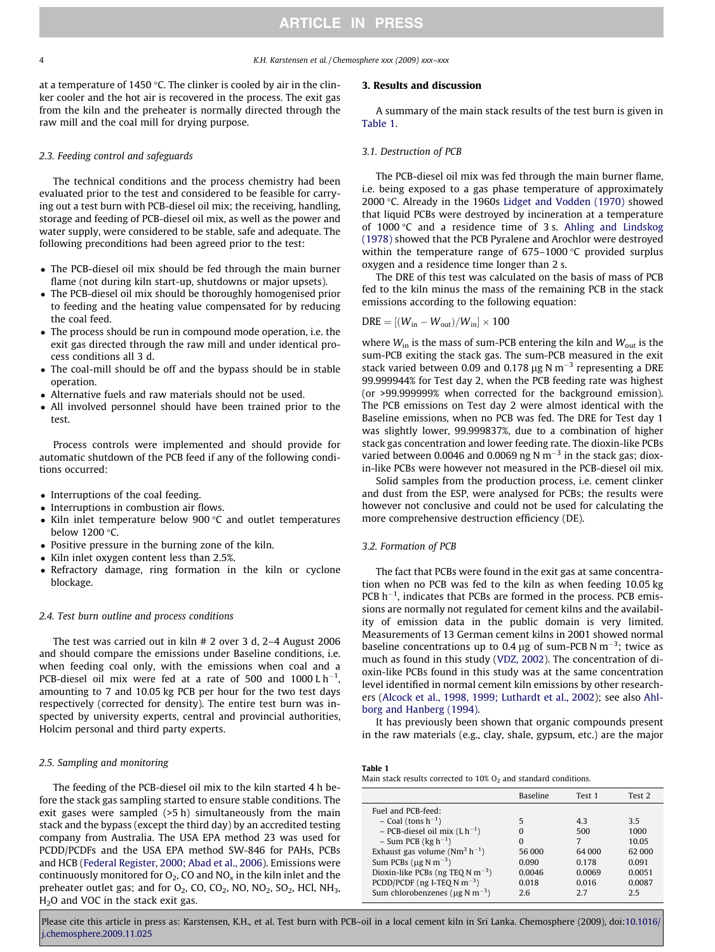4 K.H. Karstensen et al. / Chemosphere xxx (2009) xxx–xxx

at a temperature of 1450 °C. The clinker is cooled by air in the clinker cooler and the hot air is recovered in the process. The exit gas from the kiln and the preheater is normally directed through the raw mill and the coal mill for drying purpose.

#### 2.3. Feeding control and safeguards

The technical conditions and the process chemistry had been evaluated prior to the test and considered to be feasible for carrying out a test burn with PCB-diesel oil mix; the receiving, handling, storage and feeding of PCB-diesel oil mix, as well as the power and water supply, were considered to be stable, safe and adequate. The following preconditions had been agreed prior to the test:

- The PCB-diesel oil mix should be fed through the main burner flame (not during kiln start-up, shutdowns or major upsets).
- The PCB-diesel oil mix should be thoroughly homogenised prior to feeding and the heating value compensated for by reducing the coal feed.
- The process should be run in compound mode operation, i.e. the exit gas directed through the raw mill and under identical process conditions all 3 d.
- The coal-mill should be off and the bypass should be in stable operation.
- Alternative fuels and raw materials should not be used.
- All involved personnel should have been trained prior to the test.

Process controls were implemented and should provide for automatic shutdown of the PCB feed if any of the following conditions occurred:

- Interruptions of the coal feeding.
- Interruptions in combustion air flows.
- $\bullet$  Kiln inlet temperature below 900 °C and outlet temperatures below 1200 °C.
- Positive pressure in the burning zone of the kiln.
- Kiln inlet oxygen content less than 2.5%.
- Refractory damage, ring formation in the kiln or cyclone blockage.

### 2.4. Test burn outline and process conditions

The test was carried out in kiln # 2 over 3 d, 2–4 August 2006 and should compare the emissions under Baseline conditions, i.e. when feeding coal only, with the emissions when coal and a PCB-diesel oil mix were fed at a rate of 500 and 1000 L  $\rm h^{-1}$ , amounting to 7 and 10.05 kg PCB per hour for the two test days respectively (corrected for density). The entire test burn was inspected by university experts, central and provincial authorities, Holcim personal and third party experts.

#### 2.5. Sampling and monitoring

The feeding of the PCB-diesel oil mix to the kiln started 4 h before the stack gas sampling started to ensure stable conditions. The exit gases were sampled (>5 h) simultaneously from the main stack and the bypass (except the third day) by an accredited testing company from Australia. The USA EPA method 23 was used for PCDD/PCDFs and the USA EPA method SW-846 for PAHs, PCBs and HCB ([Federal Register, 2000; Abad et al., 2006\)](#page-6-0). Emissions were continuously monitored for  $O_2$ , CO and  $NO_x$  in the kiln inlet and the preheater outlet gas; and for  $O_2$ , CO, CO<sub>2</sub>, NO, NO<sub>2</sub>, SO<sub>2</sub>, HCl, NH<sub>3</sub>,  $H<sub>2</sub>O$  and VOC in the stack exit gas.

# 3. Results and discussion

A summary of the main stack results of the test burn is given in Table 1.

#### 3.1. Destruction of PCB

The PCB-diesel oil mix was fed through the main burner flame, i.e. being exposed to a gas phase temperature of approximately 2000 °C. Already in the 1960s [Lidget and Vodden \(1970\)](#page-6-0) showed that liquid PCBs were destroyed by incineration at a temperature of 1000 $\degree$ C and a residence time of 3 s. [Ahling and Lindskog](#page-5-0) [\(1978\)](#page-5-0) showed that the PCB Pyralene and Arochlor were destroyed within the temperature range of  $675-1000$  °C provided surplus oxygen and a residence time longer than 2 s.

The DRE of this test was calculated on the basis of mass of PCB fed to the kiln minus the mass of the remaining PCB in the stack emissions according to the following equation:

$$
DRE = [(W_{in} - W_{out})/W_{in}] \times 100
$$

where  $W_{\text{in}}$  is the mass of sum-PCB entering the kiln and  $W_{\text{out}}$  is the sum-PCB exiting the stack gas. The sum-PCB measured in the exit stack varied between 0.09 and 0.178  $\mu$ g N m<sup>-3</sup> representing a DRE 99.999944% for Test day 2, when the PCB feeding rate was highest (or >99.999999% when corrected for the background emission). The PCB emissions on Test day 2 were almost identical with the Baseline emissions, when no PCB was fed. The DRE for Test day 1 was slightly lower, 99.999837%, due to a combination of higher stack gas concentration and lower feeding rate. The dioxin-like PCBs varied between 0.0046 and 0.0069 ng N  $\text{m}^{-3}$  in the stack gas; dioxin-like PCBs were however not measured in the PCB-diesel oil mix.

Solid samples from the production process, i.e. cement clinker and dust from the ESP, were analysed for PCBs; the results were however not conclusive and could not be used for calculating the more comprehensive destruction efficiency (DE).

# 3.2. Formation of PCB

The fact that PCBs were found in the exit gas at same concentration when no PCB was fed to the kiln as when feeding 10.05 kg  $PCB h^{-1}$ , indicates that PCBs are formed in the process. PCB emissions are normally not regulated for cement kilns and the availability of emission data in the public domain is very limited. Measurements of 13 German cement kilns in 2001 showed normal baseline concentrations up to 0.4  $\mu$ g of sum-PCB N m<sup>-3</sup>; twice as much as found in this study [\(VDZ, 2002](#page-6-0)). The concentration of dioxin-like PCBs found in this study was at the same concentration level identified in normal cement kiln emissions by other researchers ([Alcock et al., 1998, 1999; Luthardt et al., 2002](#page-5-0)); see also [Ahl](#page-5-0)[borg and Hanberg \(1994\).](#page-5-0)

It has previously been shown that organic compounds present in the raw materials (e.g., clay, shale, gypsum, etc.) are the major

## Table 1

Main stack results corrected to  $10\%$  O<sub>2</sub> and standard conditions.

|                                                  | <b>Baseline</b> | Test 1 | Test 2 |
|--------------------------------------------------|-----------------|--------|--------|
| Fuel and PCB-feed:                               |                 |        |        |
| $-$ Coal (tons $h^{-1}$ )                        | 5               | 43     | 3.5    |
| - PCB-diesel oil mix $(L h^{-1})$                |                 | 500    | 1000   |
| $-$ Sum PCB (kg h <sup>-1</sup> )                | n               | 7      | 10.05  |
| Exhaust gas volume ( $Nm^3 h^{-1}$ )             | 56 000          | 64 000 | 62 000 |
| Sum PCBs ( $\mu$ g N m <sup>-3</sup> )           | 0.090           | 0.178  | 0.091  |
| Dioxin-like PCBs (ng TEQ N m <sup>-3</sup> )     | 0.0046          | 0.0069 | 0.0051 |
| PCDD/PCDF ( $ng$ I-TEQ N $m^{-3}$ )              | 0.018           | 0.016  | 0.0087 |
| Sum chlorobenzenes ( $\mu$ g N m <sup>-3</sup> ) | 26              | 27     | 2.5    |

Please cite this article in press as: Karstensen, K.H., et al. Test burn with PCB–oil in a local cement kiln in Sri Lanka. Chemosphere (2009), doi:[10.1016/](http://dx.doi.org/10.1016/j.chemosphere.2009.11.025) [j.chemosphere.2009.11.025](http://dx.doi.org/10.1016/j.chemosphere.2009.11.025)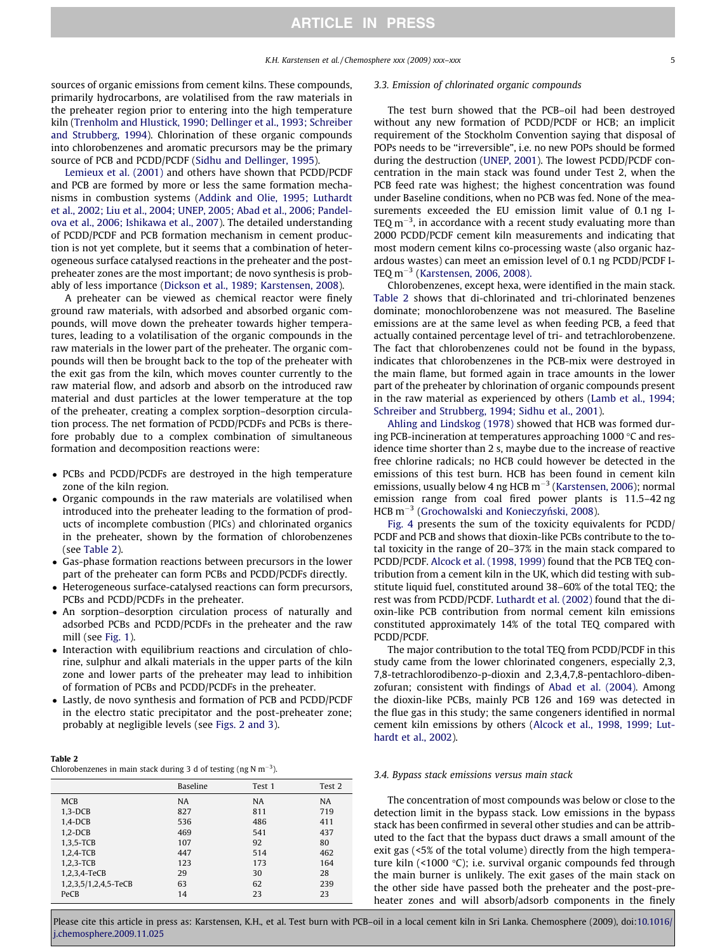sources of organic emissions from cement kilns. These compounds, primarily hydrocarbons, are volatilised from the raw materials in the preheater region prior to entering into the high temperature kiln ([Trenholm and Hlustick, 1990; Dellinger et al., 1993; Schreiber](#page-6-0) [and Strubberg, 1994\)](#page-6-0). Chlorination of these organic compounds into chlorobenzenes and aromatic precursors may be the primary source of PCB and PCDD/PCDF [\(Sidhu and Dellinger, 1995\)](#page-6-0).

[Lemieux et al. \(2001\)](#page-6-0) and others have shown that PCDD/PCDF and PCB are formed by more or less the same formation mechanisms in combustion systems ([Addink and Olie, 1995; Luthardt](#page-5-0) [et al., 2002; Liu et al., 2004; UNEP, 2005; Abad et al., 2006; Pandel](#page-5-0)[ova et al., 2006; Ishikawa et al., 2007](#page-5-0)). The detailed understanding of PCDD/PCDF and PCB formation mechanism in cement production is not yet complete, but it seems that a combination of heterogeneous surface catalysed reactions in the preheater and the postpreheater zones are the most important; de novo synthesis is probably of less importance ([Dickson et al., 1989; Karstensen, 2008](#page-6-0)).

A preheater can be viewed as chemical reactor were finely ground raw materials, with adsorbed and absorbed organic compounds, will move down the preheater towards higher temperatures, leading to a volatilisation of the organic compounds in the raw materials in the lower part of the preheater. The organic compounds will then be brought back to the top of the preheater with the exit gas from the kiln, which moves counter currently to the raw material flow, and adsorb and absorb on the introduced raw material and dust particles at the lower temperature at the top of the preheater, creating a complex sorption–desorption circulation process. The net formation of PCDD/PCDFs and PCBs is therefore probably due to a complex combination of simultaneous formation and decomposition reactions were:

- PCBs and PCDD/PCDFs are destroyed in the high temperature zone of the kiln region.
- Organic compounds in the raw materials are volatilised when introduced into the preheater leading to the formation of products of incomplete combustion (PICs) and chlorinated organics in the preheater, shown by the formation of chlorobenzenes (see Table 2).
- Gas-phase formation reactions between precursors in the lower part of the preheater can form PCBs and PCDD/PCDFs directly.
- Heterogeneous surface-catalysed reactions can form precursors, PCBs and PCDD/PCDFs in the preheater.
- An sorption–desorption circulation process of naturally and adsorbed PCBs and PCDD/PCDFs in the preheater and the raw mill (see [Fig. 1](#page-1-0)).
- Interaction with equilibrium reactions and circulation of chlorine, sulphur and alkali materials in the upper parts of the kiln zone and lower parts of the preheater may lead to inhibition of formation of PCBs and PCDD/PCDFs in the preheater.
- Lastly, de novo synthesis and formation of PCB and PCDD/PCDF in the electro static precipitator and the post-preheater zone; probably at negligible levels (see [Figs. 2 and 3](#page-2-0)).

#### Table 2

Chlorobenzenes in main stack during 3 d of testing (ng N m<sup>-3</sup>).

|                      | <b>Baseline</b> | Test 1    | Test 2 |
|----------------------|-----------------|-----------|--------|
|                      |                 |           |        |
| <b>MCB</b>           | <b>NA</b>       | <b>NA</b> | NA     |
| $1,3-DCB$            | 827             | 811       | 719    |
| $1.4$ -DCB           | 536             | 486       | 411    |
| $1,2-DCB$            | 469             | 541       | 437    |
| 1,3,5-TCB            | 107             | 92        | 80     |
| $1.2.4-TCB$          | 447             | 514       | 462    |
| 1,2,3-TCB            | 123             | 173       | 164    |
| 1,2,3,4-TeCB         | 29              | 30        | 28     |
| 1,2,3,5/1,2,4,5-TeCB | 63              | 62        | 239    |
| PeCB                 | 14              | 23        | 23     |

#### 3.3. Emission of chlorinated organic compounds

The test burn showed that the PCB–oil had been destroyed without any new formation of PCDD/PCDF or HCB; an implicit requirement of the Stockholm Convention saying that disposal of POPs needs to be ''irreversible", i.e. no new POPs should be formed during the destruction ([UNEP, 2001](#page-6-0)). The lowest PCDD/PCDF concentration in the main stack was found under Test 2, when the PCB feed rate was highest; the highest concentration was found under Baseline conditions, when no PCB was fed. None of the measurements exceeded the EU emission limit value of 0.1 ng I-TEQ m $^{-3}$ , in accordance with a recent study evaluating more than 2000 PCDD/PCDF cement kiln measurements and indicating that most modern cement kilns co-processing waste (also organic hazardous wastes) can meet an emission level of 0.1 ng PCDD/PCDF I-TEQ m $^{-3}$  ([Karstensen, 2006, 2008\).](#page-6-0)

Chlorobenzenes, except hexa, were identified in the main stack. Table 2 shows that di-chlorinated and tri-chlorinated benzenes dominate; monochlorobenzene was not measured. The Baseline emissions are at the same level as when feeding PCB, a feed that actually contained percentage level of tri- and tetrachlorobenzene. The fact that chlorobenzenes could not be found in the bypass, indicates that chlorobenzenes in the PCB-mix were destroyed in the main flame, but formed again in trace amounts in the lower part of the preheater by chlorination of organic compounds present in the raw material as experienced by others ([Lamb et al., 1994;](#page-6-0) [Schreiber and Strubberg, 1994; Sidhu et al., 2001\)](#page-6-0).

[Ahling and Lindskog \(1978\)](#page-5-0) showed that HCB was formed during PCB-incineration at temperatures approaching  $1000$  °C and residence time shorter than 2 s, maybe due to the increase of reactive free chlorine radicals; no HCB could however be detected in the emissions of this test burn. HCB has been found in cement kiln emissions, usually below 4 ng HCB  $\text{m}^{-3}$  [\(Karstensen, 2006\)](#page-6-0); normal emission range from coal fired power plants is 11.5–42 ng  $HCB$  m<sup>-3</sup> (Grochowalski and Konieczyński, 2008).

[Fig. 4](#page-5-0) presents the sum of the toxicity equivalents for PCDD/ PCDF and PCB and shows that dioxin-like PCBs contribute to the total toxicity in the range of 20–37% in the main stack compared to PCDD/PCDF. [Alcock et al. \(1998, 1999\)](#page-5-0) found that the PCB TEQ contribution from a cement kiln in the UK, which did testing with substitute liquid fuel, constituted around 38–60% of the total TEQ; the rest was from PCDD/PCDF. [Luthardt et al. \(2002\)](#page-6-0) found that the dioxin-like PCB contribution from normal cement kiln emissions constituted approximately 14% of the total TEQ compared with PCDD/PCDF.

The major contribution to the total TEQ from PCDD/PCDF in this study came from the lower chlorinated congeners, especially 2,3, 7,8-tetrachlorodibenzo-p-dioxin and 2,3,4,7,8-pentachloro-dibenzofuran; consistent with findings of [Abad et al. \(2004\).](#page-5-0) Among the dioxin-like PCBs, mainly PCB 126 and 169 was detected in the flue gas in this study; the same congeners identified in normal cement kiln emissions by others [\(Alcock et al., 1998, 1999; Lut](#page-5-0)[hardt et al., 2002\)](#page-5-0).

#### 3.4. Bypass stack emissions versus main stack

The concentration of most compounds was below or close to the detection limit in the bypass stack. Low emissions in the bypass stack has been confirmed in several other studies and can be attributed to the fact that the bypass duct draws a small amount of the exit gas (<5% of the total volume) directly from the high temperature kiln (<1000  $\degree$ C); i.e. survival organic compounds fed through the main burner is unlikely. The exit gases of the main stack on the other side have passed both the preheater and the post-preheater zones and will absorb/adsorb components in the finely

Please cite this article in press as: Karstensen, K.H., et al. Test burn with PCB-oil in a local cement kiln in Sri Lanka. Chemosphere (2009), doi:[10.1016/](http://dx.doi.org/10.1016/j.chemosphere.2009.11.025) [j.chemosphere.2009.11.025](http://dx.doi.org/10.1016/j.chemosphere.2009.11.025)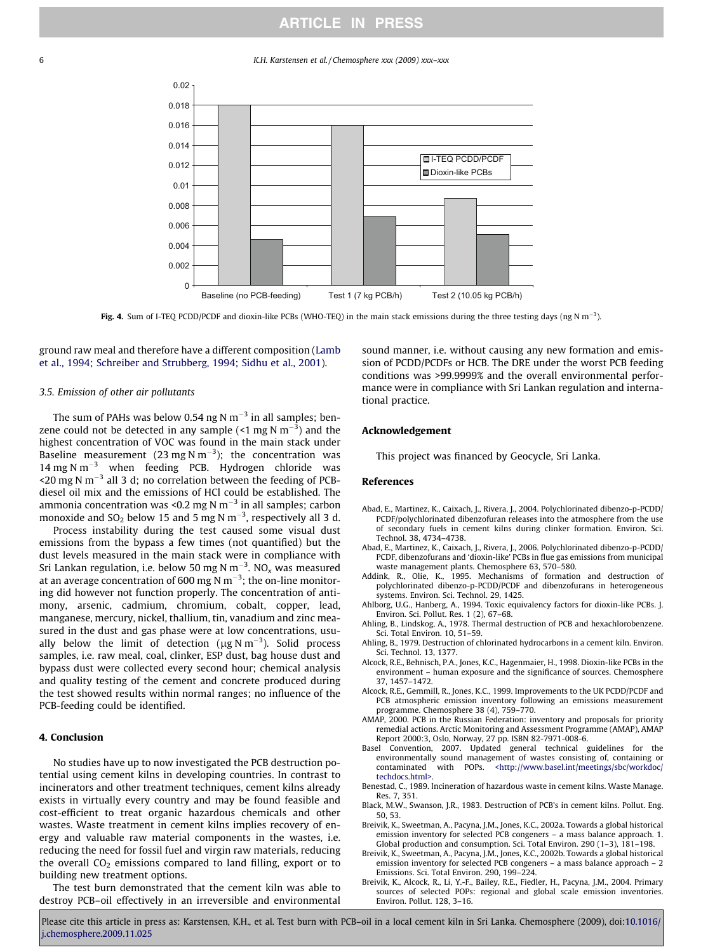# ARTICLE IN PRESS

<span id="page-5-0"></span>6 K.H. Karstensen et al. / Chemosphere xxx (2009) xxx–xxx



**Fig. 4.** Sum of I-TEQ PCDD/PCDF and dioxin-like PCBs (WHO-TEQ) in the main stack emissions during the three testing days (ng N m<sup>-3</sup>).

ground raw meal and therefore have a different composition [\(Lamb](#page-6-0) [et al., 1994; Schreiber and Strubberg, 1994; Sidhu et al., 2001\)](#page-6-0).

### 3.5. Emission of other air pollutants

The sum of PAHs was below 0.54 ng N m $^{-3}$  in all samples; benzene could not be detected in any sample (<1 mg N  $\mathrm{m}^{-3}$ ) and the highest concentration of VOC was found in the main stack under Baseline measurement (23 mg N m<sup>-3</sup>); the concentration was 14 mg N  $m^{-3}$  when feeding PCB. Hydrogen chloride was <20 mg N m<sup>-3</sup> all 3 d; no correlation between the feeding of PCBdiesel oil mix and the emissions of HCl could be established. The ammonia concentration was <0.2 mg N m $^{-3}$  in all samples; carbon monoxide and SO<sub>2</sub> below 15 and 5 mg N m<sup>-3</sup>, respectively all 3 d.

Process instability during the test caused some visual dust emissions from the bypass a few times (not quantified) but the dust levels measured in the main stack were in compliance with Sri Lankan regulation, i.e. below 50 mg N m $^{-3}$ . NO $_\mathrm{x}$  was measured at an average concentration of 600 mg N m $^{-3}$ ; the on-line monitoring did however not function properly. The concentration of antimony, arsenic, cadmium, chromium, cobalt, copper, lead, manganese, mercury, nickel, thallium, tin, vanadium and zinc measured in the dust and gas phase were at low concentrations, usually below the limit of detection ( $\mu$ g N m<sup>-3</sup>). Solid process samples, i.e. raw meal, coal, clinker, ESP dust, bag house dust and bypass dust were collected every second hour; chemical analysis and quality testing of the cement and concrete produced during the test showed results within normal ranges; no influence of the PCB-feeding could be identified.

# 4. Conclusion

No studies have up to now investigated the PCB destruction potential using cement kilns in developing countries. In contrast to incinerators and other treatment techniques, cement kilns already exists in virtually every country and may be found feasible and cost-efficient to treat organic hazardous chemicals and other wastes. Waste treatment in cement kilns implies recovery of energy and valuable raw material components in the wastes, i.e. reducing the need for fossil fuel and virgin raw materials, reducing the overall  $CO<sub>2</sub>$  emissions compared to land filling, export or to building new treatment options.

The test burn demonstrated that the cement kiln was able to destroy PCB–oil effectively in an irreversible and environmental

sound manner, i.e. without causing any new formation and emission of PCDD/PCDFs or HCB. The DRE under the worst PCB feeding conditions was >99.9999% and the overall environmental performance were in compliance with Sri Lankan regulation and international practice.

# Acknowledgement

This project was financed by Geocycle, Sri Lanka.

#### References

- Abad, E., Martinez, K., Caixach, J., Rivera, J., 2004. Polychlorinated dibenzo-p-PCDD/ PCDF/polychlorinated dibenzofuran releases into the atmosphere from the use of secondary fuels in cement kilns during clinker formation. Environ. Sci. Technol. 38, 4734–4738.
- Abad, E., Martinez, K., Caixach, J., Rivera, J., 2006. Polychlorinated dibenzo-p-PCDD/ PCDF, dibenzofurans and 'dioxin-like' PCBs in flue gas emissions from municipal waste management plants. Chemosphere 63, 570–580.<br>Addink. R., Olie, K., 1995. Mechanisms of formation
- 1995. Mechanisms of formation and destruction of polychlorinated dibenzo-p-PCDD/PCDF and dibenzofurans in heterogeneous systems. Environ. Sci. Technol. 29, 1425.
- Ahlborg, U.G., Hanberg, A., 1994. Toxic equivalency factors for dioxin-like PCBs. J. Environ. Sci. Pollut. Res. 1 (2), 67–68.
- Ahling, B., Lindskog, A., 1978. Thermal destruction of PCB and hexachlorobenzene. Sci. Total Environ. 10, 51–59.
- Ahling, B., 1979. Destruction of chlorinated hydrocarbons in a cement kiln. Environ. Sci. Technol. 13, 1377.
- Alcock, R.E., Behnisch, P.A., Jones, K.C., Hagenmaier, H., 1998. Dioxin-like PCBs in the environment – human exposure and the significance of sources. Chemosphere 37, 1457–1472.
- Alcock, R.E., Gemmill, R., Jones, K.C., 1999. Improvements to the UK PCDD/PCDF and PCB atmospheric emission inventory following an emissions measurement programme. Chemosphere 38 (4), 759–770.
- AMAP, 2000. PCB in the Russian Federation: inventory and proposals for priority remedial actions. Arctic Monitoring and Assessment Programme (AMAP), AMAP Report 2000:3, Oslo, Norway, 27 pp. ISBN 82-7971-008-6.
- Basel Convention, 2007. Updated general technical guidelines for the environmentally sound management of wastes consisting of, containing or contaminated with POPs. <http://www.basel.int/meetings/sbc/workdoc/ [<http://www.basel.int/meetings/sbc/workdoc/](http://www.basel.int/meetings/sbc/workdoc/techdocs.html) [techdocs.html>.](http://www.basel.int/meetings/sbc/workdoc/techdocs.html)
- Benestad, C., 1989. Incineration of hazardous waste in cement kilns. Waste Manage. Res. 7, 351.
- Black, M.W., Swanson, J.R., 1983. Destruction of PCB's in cement kilns. Pollut. Eng. 50, 53.
- Breivik, K., Sweetman, A., Pacyna, J.M., Jones, K.C., 2002a. Towards a global historical emission inventory for selected PCB congeners – a mass balance approach. 1. Global production and consumption. Sci. Total Environ. 290 (1–3), 181–198.
- Breivik, K., Sweetman, A., Pacyna, J.M., Jones, K.C., 2002b. Towards a global historical emission inventory for selected PCB congeners – a mass balance approach – 2 Emissions. Sci. Total Environ. 290, 199–224.
- Breivik, K., Alcock, R., Li, Y.-F., Bailey, R.E., Fiedler, H., Pacyna, J.M., 2004. Primary sources of selected POPs: regional and global scale emission inventories. Environ. Pollut. 128, 3–16.

Please cite this article in press as: Karstensen, K.H., et al. Test burn with PCB–oil in a local cement kiln in Sri Lanka. Chemosphere (2009), doi:[10.1016/](http://dx.doi.org/10.1016/j.chemosphere.2009.11.025) [j.chemosphere.2009.11.025](http://dx.doi.org/10.1016/j.chemosphere.2009.11.025)